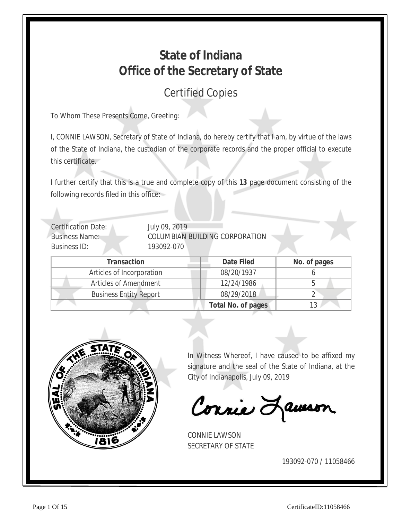# **State of Indiana Office of the Secretary of State**

# Certified Copies

To Whom These Presents Come, Greeting:

I, CONNIE LAWSON, Secretary of State of Indiana, do hereby certify that I am, by virtue of the laws of the State of Indiana, the custodian of the corporate records and the proper official to execute this certificate.

I further certify that this is a true and complete copy of this **13** page document consisting of the following records filed in this office:

Certification Date: July 09, 2019 Business ID: 193092-070

Business Name: COLUMBIAN BUILDING CORPORATION

| Transaction                   | Date Filed         | No. of pages |
|-------------------------------|--------------------|--------------|
| Articles of Incorporation     | 08/20/1937         |              |
| <b>Articles of Amendment</b>  | 12/24/1986         |              |
| <b>Business Entity Report</b> | 08/29/2018         |              |
|                               | Total No. of pages | 12           |



In Witness Whereof, I have caused to be affixed my signature and the seal of the State of Indiana, at the City of Indianapolis, July 09, 2019

Connie Zamson

CONNIE LAWSON SECRETARY OF STATE

193092-070 / 11058466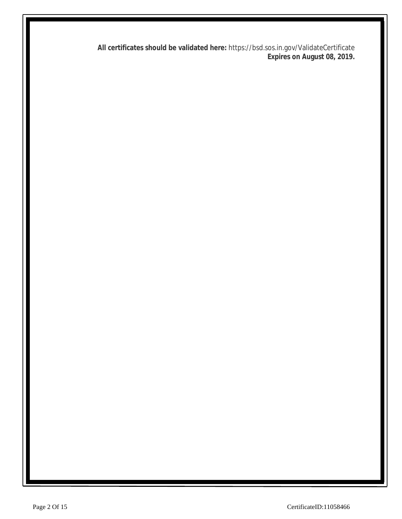**All certificates should be validated here:** https://bsd.sos.in.gov/ValidateCertificate **Expires on August 08, 2019.**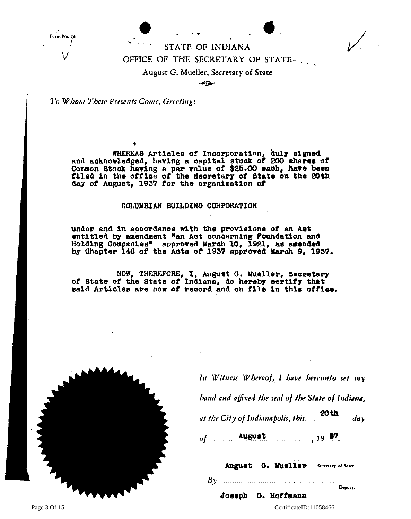Form No. 26

# STATE OF INDIANA OFFICE OF THE SECRETARY OF STATE. August G. Mueller, Secretary of State

 $+1$ 

To Whom These Presents Come, Greeting:

WHEREAS Articles of Incorporation, duly signed and acknowledged, having a capital stock of 200 shares of Common Stock having a par value of \$25.00 each, have been filed in the office of the Secretary of State on the 20th day of August, 1937 for the organization of

## COLUMBIAN BUILDING CORPORATION

under and in accordance with the provisions of an Act entitled by amendment "an Act concerning Foundation and Holding Companies" approved March 10, 1921, as amended by Chapter 146 of the Acts of 1937 approved March 9, 1937.

NOW, THEREFORE, I, August G. Mueller, Secretary<br>of State of the State of Indiana, do hereby certify that said Articles are now of record and on file in this office.



In Witness Whereof, I have hereunto set my band and affixed the seal of the State of Indiana, 20 th at the City of Indianapolis, this.  $d\mathbf{a}$ August  $\ldots$ , 19 $\overline{57}$ .  $of$  . . . . August G. Mueller Secretary of State.

Joseph O. Hoffmann

CertificateID:11058466

Deputy.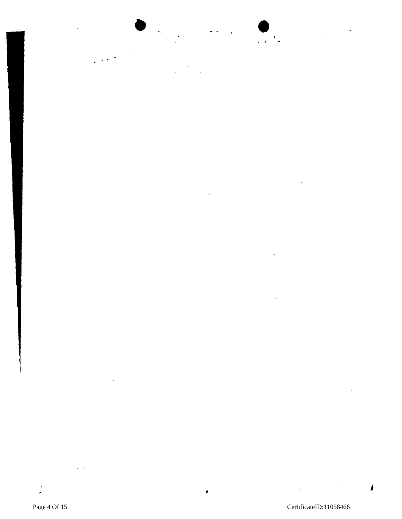$\frac{1}{2}$  .  $\sim 10^4$  $\sim$   $\sim$ 

 $\ddot{\phantom{1}}$  $\epsilon$  $\frac{1}{2}$  .

 $\overline{\phantom{a}}$ 

 $\pmb{\rho}$ 

 $\mathbf{r}$ 

 $\sim$ 

 $\overline{\mathbf{I}}$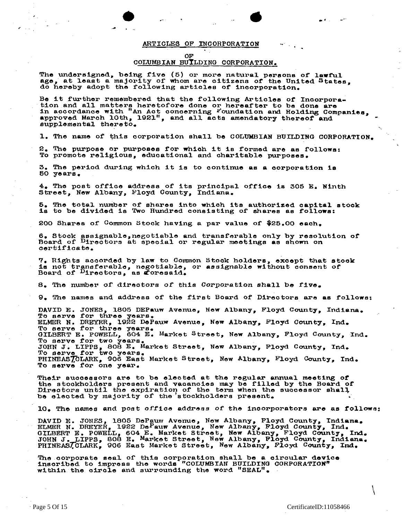#### ARTICLES OF INCORPORATION

#### ΩF

### COLUMBIAN BUILDING CORPORATION.

The undersigned, being five (5) or more natural persons of lawful<br>age, at least a majority of whom are citizens of the United States, do hereby adopt the following articles of incorporation.

Be it further remembered that the following Articles of Incorporation and all matters heretofore done or hereafter to be done are in accordance with "An Act concerning Foundation and Holding Companies, approved March 10th, 1921", and all acts amendatory thereof and supplemental thereto.

1. The name of this corporation shall be COLUMBIAN BUILDING CORPORATION.

2. The purpose or purposes for which it is formed are as follows: To promote religious, educational and charitable purposes.

3. The period during which it is to continue as a corporation is 50 years.

4. The post office address of its principal office is 305 E. Ninth Street, New Albany, Floyd County, Indiana.

5. The total number of shares into which its authorized capital stock<br>is to be divided is Two Hundred consisting of shares as follows:

200 Shares of Common Stock having a par value of \$25.00 each.

6. Stock assignable, negotiable and transferable only by resolution of Board of Directors at special or regular meetings as shown on certificate.

7. Rights accorded by law to Common Stock holders, except that stock is not transferable, negotiable, or assignable without consent of Board of Directors, as aforesaid.

8. The number of directors of this Corporation shall be five.

9. The names and address of the first Board of Directors are as follows:

DAVID E. JONES, 1805 DEPauw Avenue, New Albany, Floyd County, Indiana. To serve for three years.<br>ELMER N. DREYER, 1922 DePauw Avenue, New Albany, Floyd County, Ind. To serve for three years. GILBERT E. POWELL, 604 E. Market Street, New Albany, Floyd County, Ind. To serve for two years.<br>JOHN J. LIPPS, 808 E. Market Street, New Albany, Floyd County, Ind.<br>To serve for two years.<br>PHINEAS, CLARK, 906 East Market Street, New Albany, Floyd County, Ind. To serve for one year.

Their successors are to be elected at the regular annual meeting of the stockholders present and vacancies may be filled by the Board of Directors until the expiration of the term when the successor shall be elected by majority of the stockholders present.

10. The names and post office address of the incorporators are as follows:

DAVID E. JONES, 1805 DePauw Avenue, New Albany, Floyd County, Indiana.<br>ELMER N. DREYER, 1922 DePauw Avenue, New Albany, Floyd County, Ind. GILBERT E. POWELL, 604 E. Market Street, New Albany, Floyd County, Ind. JOHN J. LIP

The corporate seal of this corporation shall be a circular device<br>inscribed to impress the words "COLUMBIAN BUILDING CORPORATION" within the circle and surrounding the word "SEAL".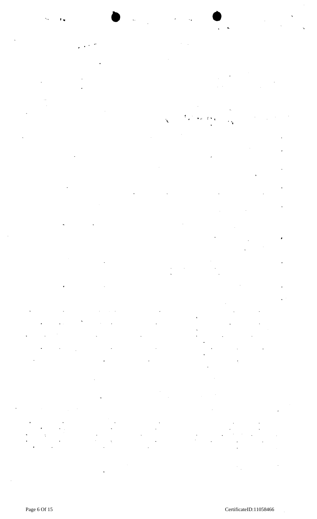$\mathcal{L}$  $\bullet$  at Ń

z

l,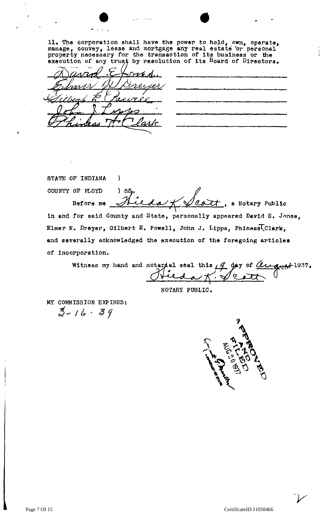11. The corporation shall have the power to hold, own, operate, manage, convey, lease and mortgage any real estate or personal property necessary for the transaction of its business or the execution of any trust by resolut

 $D44.8$ 

|                                                                                                                                                                                                                                                                                                                                                                                                                                                                                      | alignal species and support the property service and providered and but the first problem of the control of the |  |
|--------------------------------------------------------------------------------------------------------------------------------------------------------------------------------------------------------------------------------------------------------------------------------------------------------------------------------------------------------------------------------------------------------------------------------------------------------------------------------------|-----------------------------------------------------------------------------------------------------------------|--|
|                                                                                                                                                                                                                                                                                                                                                                                                                                                                                      |                                                                                                                 |  |
| $\begin{tabular}{cccccccccc} \multicolumn{1}{l}{} & \multicolumn{1}{l}{} & \multicolumn{1}{l}{} & \multicolumn{1}{l}{} & \multicolumn{1}{l}{} & \multicolumn{1}{l}{} & \multicolumn{1}{l}{} & \multicolumn{1}{l}{} & \multicolumn{1}{l}{} & \multicolumn{1}{l}{} & \multicolumn{1}{l}{} & \multicolumn{1}{l}{} & \multicolumn{1}{l}{} & \multicolumn{1}{l}{} & \multicolumn{1}{l}{} & \multicolumn{1}{l}{} & \multicolumn{1}{l}{} & \multicolumn{1}{l}{} & \multicolumn{1}{l}{} & \$ |                                                                                                                 |  |
|                                                                                                                                                                                                                                                                                                                                                                                                                                                                                      |                                                                                                                 |  |
| $\sim$ $\sim$                                                                                                                                                                                                                                                                                                                                                                                                                                                                        |                                                                                                                 |  |
|                                                                                                                                                                                                                                                                                                                                                                                                                                                                                      |                                                                                                                 |  |
|                                                                                                                                                                                                                                                                                                                                                                                                                                                                                      |                                                                                                                 |  |
|                                                                                                                                                                                                                                                                                                                                                                                                                                                                                      |                                                                                                                 |  |
|                                                                                                                                                                                                                                                                                                                                                                                                                                                                                      |                                                                                                                 |  |

STATE OF INDIANA  $\lambda$ COUNTY OF FLOYD ) SS  $\sim$ a Notary Public Before me in and for said County and State, personally appeared David E. Jones, Elmer N. Dreyer, Gilbert E. Powell, John J. Lipps, PhineasVClark, and severally acknowledged the execution of the foregoing articles of incorporation.

<u>ue</u>f-1937. Witness my hand and notardal seal this

NOTARY PUBLIC.

MY COMMISSION EXPIRES:  $3 - 16 - 39$ 

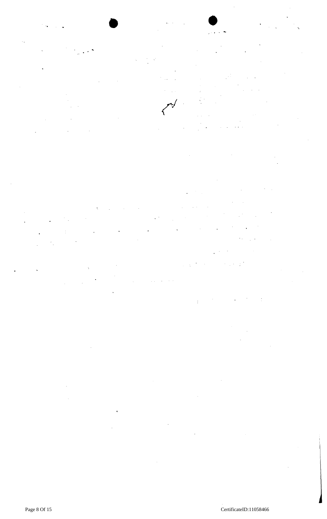$\ddot{\phi}$ 

⟨  $\ddot{\phantom{a}}$ 

 $\ddot{\phantom{1}}$ 

 $\overline{\phantom{a}}$ 

l,

 $\ddot{\phantom{0}}$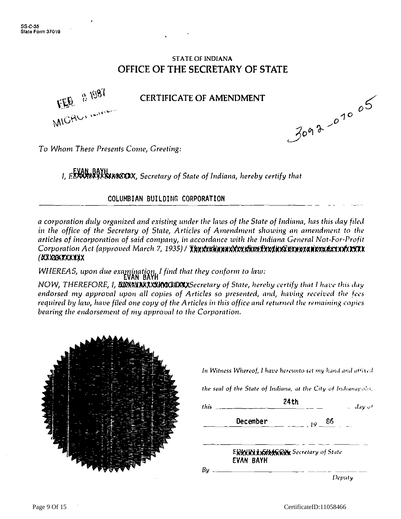# **STATE OF INDIANA** OFFICE OF THE SECRETARY OF STATE

MICAUL MART

# **CERTIFICATE OF AMENDMENT**

 $3093 - 07005$ 

To Whom These Presents Come, Greeting:

L. EXAM BAYH<br>L. EXAMANYXXIMASOX, Secretary of State of Indiana, hereby certify that

COLUMBIAN BUILDING CORPORATION

a corporation duly organized and existing under the laws of the State of Indiana, has this day filed in the office of the Secretary of State, Articles of Amendment showing an amendment to the articles of incorporation of said company, in accordance with the Indiana General Not-For-Profit Corporation Act (approved March 7, 1935) / The Mahann Max Thur Truin Surnex Anna Max *IKXXXXXXXXXX* 

WHEREAS, upon due examination, I find that they conform to law:<br>EVAN BAYH

NOW, THEREFORE, I, BERKANKXXXHKKXXXXXXXXXSecretary of State, hereby certify that I have this day endorsed my approval upon all copies of Articles so presented, and, having received the fees required by law, have filed one copy of the Articles in this office and returned the remaining copies bearing the endorsement of my approval to the Corporation.



In Witness Whereof, I have hereunto set my hand and affixed

the seal of the State of Indiana, at the City of Indianapolis,

|      | 24th |  |                 |  |
|------|------|--|-----------------|--|
| this |      |  | $= day \circ i$ |  |

 $-19-86$ December

**EQUINIMERSHOW Secretary of State EVAN BAYH** 

 $By -$ 

Deputy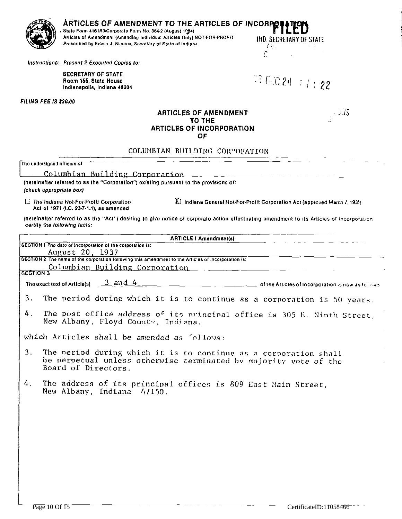|                              |                                                    |                                                                                            | State Form 4161R3/Corporate Form No. 364-2 (August 1/24)<br>Articles of Amendment (Amending Individual Afticles Only) NOT-FOR-PROFIT<br>Prescribed by Edwin J. Simcox, Secretary of State of Indiana | ARTICLES OF AMENDMENT TO THE ARTICLES OF INCORP                                                                                                                  | IND. SECRETARY OF STATE<br>$H_{\rm{L}}$<br>Ĉ                                                                                               |  |
|------------------------------|----------------------------------------------------|--------------------------------------------------------------------------------------------|------------------------------------------------------------------------------------------------------------------------------------------------------------------------------------------------------|------------------------------------------------------------------------------------------------------------------------------------------------------------------|--------------------------------------------------------------------------------------------------------------------------------------------|--|
|                              |                                                    | Instructions: Present 2 Executed Copies to:                                                |                                                                                                                                                                                                      |                                                                                                                                                                  |                                                                                                                                            |  |
|                              | <b>SECRETARY OF STATE</b><br>Room 155, State House | Indianapolis, Indiana 48204                                                                |                                                                                                                                                                                                      |                                                                                                                                                                  | 03 EEC 24 F 1 : 22                                                                                                                         |  |
| <b>FILING FEE IS \$26.00</b> |                                                    |                                                                                            |                                                                                                                                                                                                      |                                                                                                                                                                  |                                                                                                                                            |  |
|                              |                                                    |                                                                                            |                                                                                                                                                                                                      | <b>ARTICLES OF AMENDMENT</b><br>TO THE<br><b>ARTICLES OF INCORPORATION</b><br>OF                                                                                 | ો∃ડે                                                                                                                                       |  |
|                              |                                                    |                                                                                            |                                                                                                                                                                                                      | COLUMBIAN BUILDING CORPOPATION                                                                                                                                   |                                                                                                                                            |  |
| The undersigned officers of  |                                                    |                                                                                            |                                                                                                                                                                                                      |                                                                                                                                                                  |                                                                                                                                            |  |
|                              | (check appropriate box)                            |                                                                                            |                                                                                                                                                                                                      | Columbian Building Corporation ____________ ____<br>(hereinafter referred to as the "Corporation") existing pursuant to the provisions of:                       |                                                                                                                                            |  |
|                              |                                                    | <b>E</b> The Indiana Not-For-Profit Corporation<br>Act of 1971 (I.C. 23-7-1.1), as amended |                                                                                                                                                                                                      |                                                                                                                                                                  | XI Indiana General Not-For-Profit Corporation Act (approved March 7, 1933)                                                                 |  |
|                              | certify the following facts:                       |                                                                                            |                                                                                                                                                                                                      |                                                                                                                                                                  | (hereinalter referred to as the "Act") desiring to give notice of corporate action effectuating amendment to its Articles of Incorporation |  |
|                              |                                                    | SECTION I The date of incorporation of the corporation is:                                 |                                                                                                                                                                                                      | <b>ARTICLE I Amendment(s)</b>                                                                                                                                    |                                                                                                                                            |  |
|                              | August 20, 1937                                    |                                                                                            |                                                                                                                                                                                                      |                                                                                                                                                                  |                                                                                                                                            |  |
| <b>SECTION 3</b>             |                                                    |                                                                                            |                                                                                                                                                                                                      | SECTION 2 The name of the corporation following this amendment to the Articles of Incorporation is:<br><u>Columbian Building Corporation [10] [10] [10] [10]</u> |                                                                                                                                            |  |
|                              | The exact text of Article(s)                       | <u>3 and 4</u>                                                                             |                                                                                                                                                                                                      |                                                                                                                                                                  |                                                                                                                                            |  |
| 3.                           |                                                    |                                                                                            |                                                                                                                                                                                                      |                                                                                                                                                                  | The period during which it is to continue as a corporation is 50 years.                                                                    |  |
| 4.                           |                                                    |                                                                                            | New Albany, Floyd County, Indiana.                                                                                                                                                                   |                                                                                                                                                                  | The post office address of its principal office is 305 E. Ninth Street,                                                                    |  |
|                              |                                                    |                                                                                            | which Articles shall be amended as 'ollows:                                                                                                                                                          |                                                                                                                                                                  |                                                                                                                                            |  |
| 3.                           |                                                    | Board of Directors.                                                                        |                                                                                                                                                                                                      |                                                                                                                                                                  | The period during which it is to continue as a corporation shall<br>be perpetual unless otherwise terminated by majority vote of the       |  |
| 4.                           |                                                    | New Albany, Indiana 47150.                                                                 |                                                                                                                                                                                                      |                                                                                                                                                                  | The address of its principal offices is 809 East Main Street,                                                                              |  |
|                              |                                                    |                                                                                            |                                                                                                                                                                                                      |                                                                                                                                                                  |                                                                                                                                            |  |
|                              |                                                    |                                                                                            |                                                                                                                                                                                                      |                                                                                                                                                                  |                                                                                                                                            |  |
|                              |                                                    |                                                                                            |                                                                                                                                                                                                      |                                                                                                                                                                  |                                                                                                                                            |  |
|                              |                                                    |                                                                                            |                                                                                                                                                                                                      |                                                                                                                                                                  |                                                                                                                                            |  |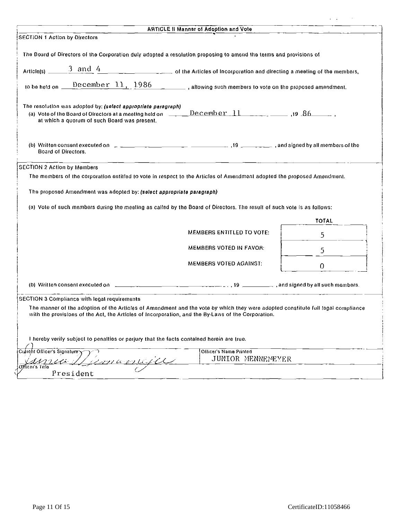|                                                                                                                                                                                                                                                                                                                                     | <b>ARTICLE II Manner of Adoption and Vote</b>                            |                |
|-------------------------------------------------------------------------------------------------------------------------------------------------------------------------------------------------------------------------------------------------------------------------------------------------------------------------------------|--------------------------------------------------------------------------|----------------|
| SECTION 1 Action by Directors                                                                                                                                                                                                                                                                                                       |                                                                          |                |
| The Board of Directors of the Corporation duly adopted a resolution proposing to amend the terms and provisions of                                                                                                                                                                                                                  |                                                                          |                |
| 3 and 4<br>Article(s) $\_\_$                                                                                                                                                                                                                                                                                                        | of the Articles of Incorporation and directing a meeting of the members, |                |
| December $11, 1986$ , allowing such members to vote on the proposed amendment.<br>to be held on                                                                                                                                                                                                                                     |                                                                          |                |
| The resolution was adopted by: (select appropriate paragraph)<br>(a) Vote of the Board of Directors at a meeting held on _____<br>at which a quorum of such Board was present.                                                                                                                                                      | $December 11$ $10.86$                                                    |                |
| Board of Directors.                                                                                                                                                                                                                                                                                                                 |                                                                          |                |
| <b>SECTION 2 Action by Members</b>                                                                                                                                                                                                                                                                                                  |                                                                          |                |
| The members of the corporation entitled to vote in respect to the Articles of Amendment adopted the proposed Amendment.                                                                                                                                                                                                             |                                                                          |                |
| The proposed Amendment was adopted by: (select appropriate paragraph)                                                                                                                                                                                                                                                               |                                                                          |                |
| (a) Vote of such members during the meeting as called by the Board of Directors. The result of such vote is as follows:                                                                                                                                                                                                             |                                                                          |                |
|                                                                                                                                                                                                                                                                                                                                     |                                                                          | <b>TOTAL</b>   |
|                                                                                                                                                                                                                                                                                                                                     | <b>MEMBERS ENTITLED TO VOTE:</b>                                         | 5              |
|                                                                                                                                                                                                                                                                                                                                     | <b>MEMBERS VOTED IN FAVOR:</b>                                           | 5              |
|                                                                                                                                                                                                                                                                                                                                     | <b>MEMBERS VOTED AGAINST:</b>                                            | $\overline{0}$ |
| (b) Written consent executed on <b>Exercía Constant of Conservation</b> of the second of the second of the second of the second of the second of the second of the second of the second of the second of the second of the second o                                                                                                 |                                                                          |                |
| SECTION 3 Compliance with legal requirements                                                                                                                                                                                                                                                                                        |                                                                          |                |
| The manner of the adoption of the Articles of Amendment and the vote by which they were adopted constitute full legal compliance<br>with the provisions of the Act, the Articles of Incorporation, and the By-Laws of the Corporation.<br>I hereby verify subject to penalties or perjury that the facts contained herein are true. |                                                                          |                |
| Current Officer's Signature                                                                                                                                                                                                                                                                                                         | Officer's Name Printed                                                   |                |
| annu von U.S<br>icer's Title                                                                                                                                                                                                                                                                                                        | JUNIOR MENNEMEYER                                                        |                |
| President                                                                                                                                                                                                                                                                                                                           |                                                                          |                |

 $\mathcal{L}(\mathcal{A})$  and  $\mathcal{A}$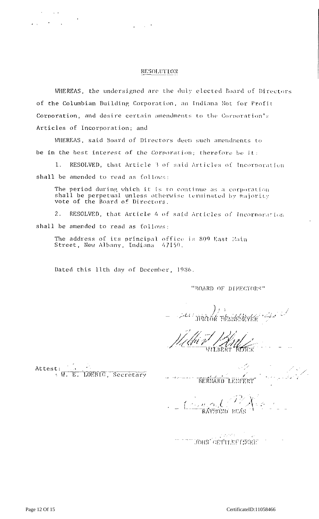# RESOLUTION

 $\mathcal{L}^{\text{max}}$  and  $\mathcal{L}^{\text{max}}$ 

WHEREAS, the undersigned are the duly elected Board of Directors of the Columbian Building Corporation, an Indiana Not for Profit Corporation, and desire certain amendments to the Corporation's Articles of Incorporation; and

WHEREAS, said Board of Directors deem such amendments to be in the best interest of the Corporation; therefore be it:

 $1.$ RESOLVED, that Article 3 of said Articles of Incorporation shall be amended to read as follows:

The period during which it is to continue as a corporation shall be perpetual unless otherwise terminated by majority vote of the Board of Directors.

 $2<sup>1</sup>$ RESOLVED, that Article 4 of said Articles of Incorporation shall be amended to read as follows:

The address of its principal office is 809 East Main Street, New Albany, Indiana 47150.

Dated this llth day of December, 1986.

"BOARD OF DIRECTORS"

ALAM JUNIOR TIENNEMENTER

Attest: W. E. LOEBIG, Secretary

BERMARD LENFERT

RÁYMOND REAS

yaya ni **THE STORY GETTLEFINGER**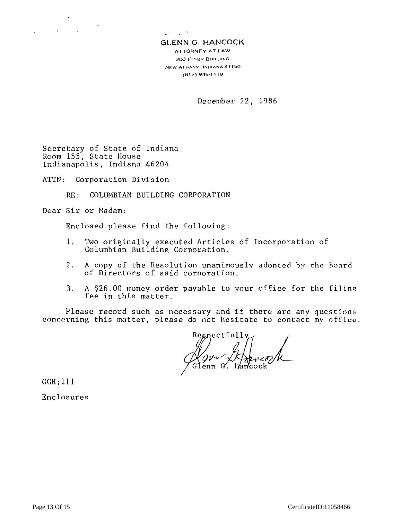**GLENN G. HANCOCK** ATTORNEY AT LAW 200 FLSBY BUILDING NEW ALBANY, INDIANA 47150 (812) 945-1119

 $\mathcal{L}^{\text{max}}$  ,  $\mathcal{L}^{\text{max}}$ 

December 22, 1986

Secretary of State of Indiana<br>Room 155, State House Indianapolis, Indiana 46204

ATTN: Corporation Division

 $RE:$ COLUMBIAN BUILDING CORPORATION

Dear Sir or Madam:

 $\label{eq:2.1} \frac{1}{\sqrt{2}}\int_{\mathbb{R}^3}\frac{1}{\sqrt{2}}\left(\frac{1}{\sqrt{2}}\right)^2\frac{dx}{dx}dx = \frac{1}{2}\int_{\mathbb{R}^3}\frac{dx}{dx}$ 

Enclosed please find the following:

- $\mathbf{1}$ . Two originally executed Articles of Incorporation of Columbian Building Corporation.
- A copy of the Resolution unanimously adopted by the Board  $2.$ of Directors of said cornoration.
- A \$26.00 money order payable to your office for the filing  $3<sub>1</sub>$ fee in this matter.

Please record such as necessary and if there are any questions concerning this matter, please do not hesitate to contact my office.

Respectfully

 $GGH:111$ 

Enclosures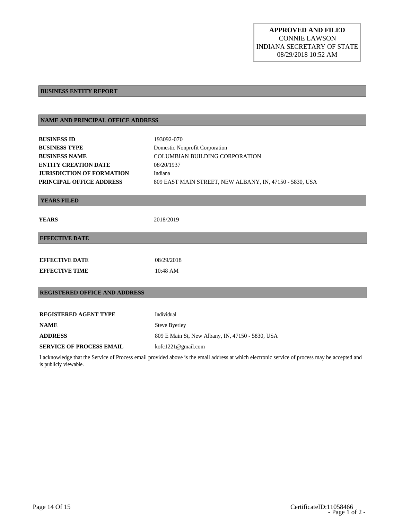## **BUSINESS ENTITY REPORT**

## **NAME AND PRINCIPAL OFFICE ADDRESS**

| <b>BUSINESS ID</b><br><b>BUSINESS TYPE</b><br><b>BUSINESS NAME</b><br><b>ENTITY CREATION DATE</b><br><b>JURISDICTION OF FORMATION</b><br><b>PRINCIPAL OFFICE ADDRESS</b> | 193092-070<br>Domestic Nonprofit Corporation<br>COLUMBIAN BUILDING CORPORATION<br>08/20/1937<br>Indiana<br>809 EAST MAIN STREET, NEW ALBANY, IN, 47150 - 5830, USA |
|--------------------------------------------------------------------------------------------------------------------------------------------------------------------------|--------------------------------------------------------------------------------------------------------------------------------------------------------------------|
| <b>YEARS FILED</b>                                                                                                                                                       |                                                                                                                                                                    |
| <b>YEARS</b>                                                                                                                                                             | 2018/2019                                                                                                                                                          |
| <b>EFFECTIVE DATE</b>                                                                                                                                                    |                                                                                                                                                                    |
| <b>EFFECTIVE DATE</b><br><b>EFFECTIVE TIME</b>                                                                                                                           | 08/29/2018<br>10:48 AM                                                                                                                                             |
| <b>REGISTERED OFFICE AND ADDRESS</b>                                                                                                                                     |                                                                                                                                                                    |
|                                                                                                                                                                          |                                                                                                                                                                    |
| REGISTERED AGENT TYPE                                                                                                                                                    | Individual                                                                                                                                                         |
| <b>NAME</b>                                                                                                                                                              | <b>Steve Byerley</b>                                                                                                                                               |
| <b>ADDRESS</b>                                                                                                                                                           | 809 E Main St, New Albany, IN, 47150 - 5830, USA                                                                                                                   |
| <b>SERVICE OF PROCESS EMAIL</b>                                                                                                                                          | kofc1221@gmail.com                                                                                                                                                 |

I acknowledge that the Service of Process email provided above is the email address at which electronic service of process may be accepted and is publicly viewable.